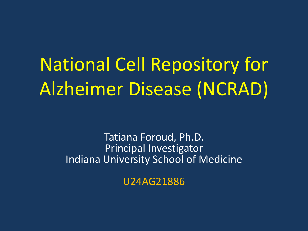# National Cell Repository for Alzheimer Disease (NCRAD)

Tatiana Foroud, Ph.D. Principal Investigator Indiana University School of Medicine

U24AG21886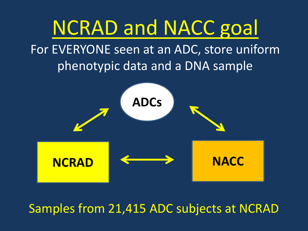

Samples from 21,415 ADC subjects at NCRAD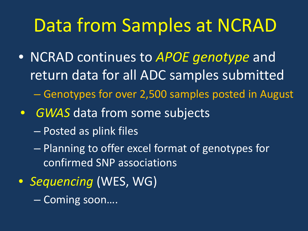## Data from Samples at NCRAD

- NCRAD continues to *APOE genotype* and return data for all ADC samples submitted
	- Genotypes for over 2,500 samples posted in August
- *GWAS* data from some subjects
	- Posted as plink files
	- Planning to offer excel format of genotypes for confirmed SNP associations
- *Sequencing* (WES, WG)
	- Coming soon….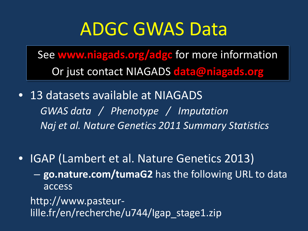### ADGC GWAS Data

See **www.niagads.org/adgc** for more information Or just contact NIAGADS **data@niagads.org**

- 13 datasets available at NIAGADS *GWAS data / Phenotype / Imputation Naj et al. Nature Genetics 2011 Summary Statistics*
- IGAP (Lambert et al. Nature Genetics 2013) – **go.nature.com/tumaG2** has the following URL to data access

http://www.pasteurlille.fr/en/recherche/u744/Igap stage1.zip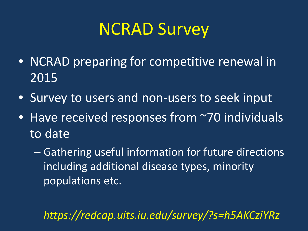### NCRAD Survey

- NCRAD preparing for competitive renewal in 2015
- Survey to users and non-users to seek input
- Have received responses from ~70 individuals to date
	- Gathering useful information for future directions including additional disease types, minority populations etc.

*https://redcap.uits.iu.edu/survey/?s=h5AKCziYRz*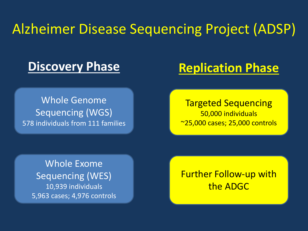### Alzheimer Disease Sequencing Project (ADSP)

#### **Discovery Phase**

#### **Replication Phase**

Whole Genome Sequencing (WGS) 578 individuals from 111 families

Targeted Sequencing 50,000 individuals ~25,000 cases; 25,000 controls

Whole Exome Sequencing (WES) 10,939 individuals 5,963 cases; 4,976 controls

Further Follow-up with the ADGC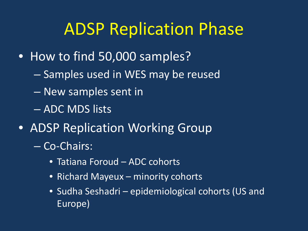### ADSP Replication Phase

- How to find 50,000 samples?
	- Samples used in WES may be reused
	- New samples sent in
	- ADC MDS lists
- ADSP Replication Working Group
	- Co-Chairs:
		- Tatiana Foroud ADC cohorts
		- Richard Mayeux minority cohorts
		- Sudha Seshadri epidemiological cohorts (US and Europe)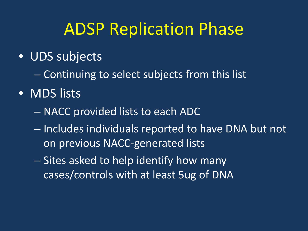### ADSP Replication Phase

#### • UDS subjects

- Continuing to select subjects from this list
- MDS lists
	- NACC provided lists to each ADC
	- Includes individuals reported to have DNA but not on previous NACC-generated lists
	- Sites asked to help identify how many cases/controls with at least 5ug of DNA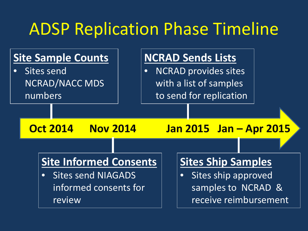### ADSP Replication Phase Timeline